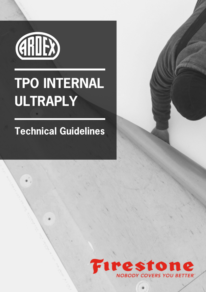

## TPO INTERNAL ULTRAPLY

## Technical Guidelines

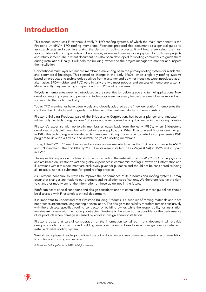## Introduction

This manual introduces Firestone's UltraPly™ TPO roofing systems, of which the main component is the Firestone UltraPly™ TPO roofing membrane. Firestone prepared this document as a general guide to assist architects and specifiers during the design of roofing projects. It will help them select the most appropriate roofing components and build a safe, secure and durable roofing system for both new projects and refurbishment. The present document has also been developed for roofing contractors to guide them during installation. Finally, it will help the building owner and the project manager to monitor and inspect the installation.

Conventional multi-layer bituminous membranes have long been the primary roofing system for residential and commercial buildings. This started to change in the early 1960's, when single-ply roofing systems based on products and technologies derived from elastomer and polymer industries were introduced as an alternative. EPDM-rubber and PVC were initially the two most popular and successful membrane systems. More recently they are facing competition from TPO roofing systems.

Polyolefin membranes were first introduced in the seventies for below grade and tunnel applications. New developments in polymer and processing technology were necessary before these membranes moved with success into the roofing industry.

Today, TPO membranes have been widely and globally adopted as the "new generation" membranes that combine the durability and longevity of rubber with the heat weldability of thermoplastics.

Firestone Building Products, part of the Bridgestone Corporation, has been a pioneer and innovator in rubber polymer technology for over 100 years and is recognized as a global leader in the roofing industry.

Firestone's expertise with polyolefin membranes dates back from the early 1980's, when Bridgestone developed a polyolefin membrane for below grade applications. When Firestone and Bridgestone merged in 1988, this technology was transferred to Firestone Building Products, who started a comprehensive R&D program to develop a flexible and durable polyolefin roofing membrane.

Today, UltraPly™ TPO membranes and accessories are manufactured in the USA in accordance to ASTM and EN standards. The first UltraPly™ TPO roofs were installed in Las Vegas (USA) in 1996 and in Spain in 1999.

These guidelines provide the latest information regarding the installation of UltraPly™ TPO roofing systems and are based on Firestone's vast and global experience in commercial roofing. However, all information and illustrations within this document are exclusively given for guidance and should not be considered as being all-inclusive, nor as a substitute for good roofing practice.

As Firestone continuously strives to improve the performance of its products and roofing systems, it may occur that changes are made to our products and installation specifications. We therefore reserve the right to change or modify any of the information of these guidelines in the future.

Roofs subject to special conditions and design considerations not contained within these guidelines should be discussed with Firestone's technical department.

It is important to understand that Firestone Building Products is a supplier of roofing materials and does not practice architecture, engineering or installation. The design responsibility therefore remains exclusively with the architect, specifier, roofing contractor or building owner, while the responsibility for installation remains exclusively with the roofing contractor. Firestone is therefore not responsible for the performance of its products when damage is caused by errors in design and/or installation.

Firestone trusts that careful consideration of the information contained in this document will provide designers, roofing contractors and building owners with a sound basis to select, design, specify, detail and install a durable roofing system.

We wish you a pleasant reading and efficient use of this document and welcome any comment or recommendation to continue improving our services.

© Firestone Building Products, 2018. All rights reserved.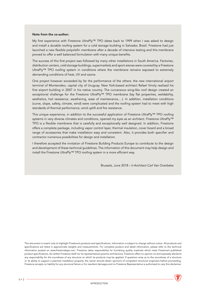## Note from the co-author:

My first experience with Firestone UltraPly™ TPO dates back to 1999 when I was asked to design and install a durable roofing system for a cold storage building in Salvador, Brazil. Firestone had just launched a new flexible polyolefin membrane after a decade of intensive testing and this membrane proved to offer a well balanced formulation with many unique benefits.

The success of this first project was followed by many other installations in South America. Factories, distribution centers, cold storage buildings, supermarkets and sport arenas were covered by a Firestone UltraPly™ TPO roofing system in conditions where the membrane remains exposed to extremely demanding conditions of heat, UV and ozone.

One project however exceeded by far the performance of the others: the new international airport terminal of Montevideo, capital city of Uruguay. New York-based architect Rafael Vinoly realised his first airport building in 2007 in his native country. The curvaceous wing-like roof design created an exceptional challenge for the Firestone UltraPly™ TPO membrane (lay flat properties, weldability, aesthetics, hail resistance, weathering, ease of maintenance,…). In addition, installation conditions (curve, slope, safety, climate, wind) were complicated and the roofing system had to meet with high standards of thermal performance, wind uplift and fire resistance.

This unique experience, in addition to the successful application of Firestone UltraPly™ TPO roofing systems in very diverse climates and conditions, opened my eyes as an architect. Firestone UltraPly™ TPO is a flexible membrane that is carefully and exceptionally well designed. In addition, Firestone offers a complete package, including vapor control layer, thermal insulation, cover board and a broad range of accessories that make installation easy and consistent. Also, it provides both specifier and contractor numerous possibilities for design and installation.

I therefore accepted the invitation of Firestone Building Products Europe to contribute to the design and development of these technical guidelines. The information of this document may help design and install the Firestone UltraPly™ TPO roofing system in a more efficient way.

Brussels, June 2018 – Ir-Architect Carl Van Overbeke

This document is meant only to highlight Firestone's products and specifications. Information is subject to change without notice. All products and specifications are listed in approximate weights and measurements. For complete product and detail information, please refer to the technical information posted on www.firestonebpe.com. Firestone takes responsibility for furnishing quality materials which meet Firestone's published product specifications. As neither Firestone itself nor its representatives practice architecture, Firestone offers no opinion on and expressly disclaims any responsibility for the soundness of any structure on which its products may be applied. If questions arise as to the soundness of a structure or its ability to support a planned installation properly, the owner should obtain opinions of competent structural engineers before proceeding. Firestone accepts no liability for any structural failure or for resultant damages and no Firestone Representative is authorized to vary this disclaimer.